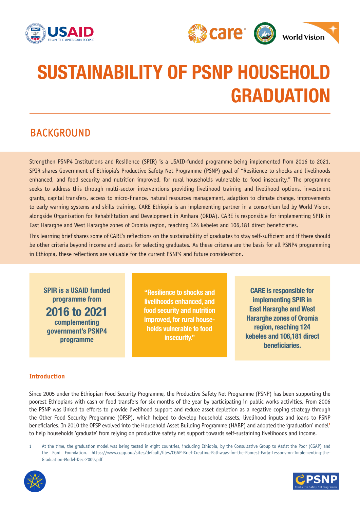



# SUSTAINABILITY OF PSNP HOUSEHOLD GRADUATION

# BACKGROUND

Strengthen PSNP4 Institutions and Resilience (SPIR) is a USAID-funded programme being implemented from 2016 to 2021. SPIR shares Government of Ethiopia's Productive Safety Net Programme (PSNP) goal of "Resilience to shocks and livelihoods enhanced, and food security and nutrition improved, for rural households vulnerable to food insecurity." The programme seeks to address this through multi-sector interventions providing livelihood training and livelihood options, investment grants, capital transfers, access to micro-finance, natural resources management, adaption to climate change, improvements to early warning systems and skills training. CARE Ethiopia is an implementing partner in a consortium led by World Vision, alongside Organisation for Rehabilitation and Development in Amhara (ORDA). CARE is responsible for implementing SPIR in East Hararghe and West Hararghe zones of Oromia region, reaching 124 kebeles and 106,181 direct beneficiaries.

This learning brief shares some of CARE's reflections on the sustainability of graduates to stay self-sufficient and if there should be other criteria beyond income and assets for selecting graduates. As these criterea are the basis for all PSNP4 programming in Ethiopia, these reflections are valuable for the current PSNP4 and future consideration.

SPIR is a USAID funded programme from 2016 to 2021 complementing government's PSNP4 programme

"Resilience to shocks and livelihoods enhanced, and food security and nutrition improved, for rural households vulnerable to food insecurity."

CARE is responsible for implementing SPIR in East Hararghe and West Hararghe zones of Oromia region, reaching 124 kebeles and 106,181 direct beneficiaries.

# **Introduction**

Since 2005 under the Ethiopian Food Security Programme, the Productive Safety Net Programme (PSNP) has been supporting the poorest Ethiopians with cash or food transfers for six months of the year by participating in public works activities. From 2006 the PSNP was linked to efforts to provide livelihood support and reduce asset depletion as a negative coping strategy through the Other Food Security Programme (OFSP), which helped to develop household assets, livelihood inputs and loans to PSNP beneficiaries. In 2010 the OFSP evolved into the Household Asset Building Programme (HABP) and adopted the 'graduation' model**<sup>1</sup>** to help households 'graduate' from relying on productive safety net support towards self-sustaining livelihoods and income.

<sup>1</sup> At the time, the graduation model was being tested in eight countries, including Ethiopia, by the Consultative Group to Assist the Poor (CGAP) and the Ford Foundation. https://www.cgap.org/sites/default/files/CGAP-Brief-Creating-Pathways-for-the-Poorest-Early-Lessons-on-Implementing-the-Graduation-Model-Dec-2009.pdf



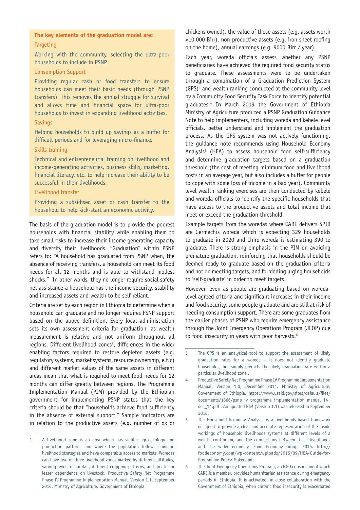# **The key elements of the graduation model are: Targeting**

Working with the community, selecting the ultra-poor households to include in PSNP.

#### Consumption Support

Providing regular cash or food transfers to ensure households can meet their basic needs (through PSNP transfers). This removes the annual struggle for survival and allows time and financial space for ultra-poor households to invest in expanding livelihood activities.

#### **Savings**

Helping households to build up savings as a buffer for difficult periods and for leveraging micro-finance.

#### Skills training

Technical and entrepreneurial training on livelihood and income-generating activities, business skills, marketing, financial literacy, etc. to help increase their ability to be successful in their livelihoods.

#### Livelihood transfer

Providing a subsidised asset or cash transfer to the household to help kick-start an economic activity.

The basis of the graduation model is to provide the poorest households with financial stability while enabling them to take small risks to increase their income generating capacity and diversify their livelihoods. "Graduation" within PSNP refers to: "A household has graduated from PSNP when, the absence of receiving transfers, a household can meet its food needs for all 12 months and is able to withstand modest shocks." In other words, they no longer require social safety net assistance-a household has the income security, stability and increased assets and wealth to be self-reliant.

Criteria are set by each region in Ethiopia to determine when a household can graduate and no longer requires PSNP support based on the above definition. Every local administration sets its own assessment criteria for graduation, as wealth measurement is relative and not uniform throughout all regions. Different livelihood zones**<sup>2</sup>** , differences in the wider enabling factors required to restore depleted assets (e.g. regulatory systems, market systems, resource ownership, e.t.c) and different market values of the same assets in different areas mean that what is required to meet food needs for 12 months can differ greatly between regions. The Programme Implementation Manual (PIM) provided by the Ethiopian government for implementing PSNP states that the key criteria should be that "households achieve food sufficiency in the absence of external support." Sample indicators are in relation to the productive assets (e.g. number of ox or

chickens owned), the value of those assets (e.g. assets worth >10,000 Birr), non-productive assets (e.g. iron sheet roofing on the home), annual earnings (e.g. 9000 Birr / year).

Each year, woreda officials assess whether any PSNP beneficiaries have achieved the required food security status to graduate. These assessments were to be undertaken through a combination of a Graduation Prediction System (GPS)**<sup>3</sup>** and wealth ranking conducted at the community level by a Community Food Security Task Force to identify potential graduates.**<sup>4</sup>** In March 2019 the Government of Ethiopia Ministry of Agriculture produced a PSNP Graduation Guidance Note to help implementers, including woreda and kebele level officials, better understand and implement the graduation process. As the GPS system was not actively functioning, the guidance note recommends using Household Economy Analysis**<sup>5</sup>** (HEA) to assess household food self-sufficiency and determine graduation targets based on a graduation threshold (the cost of meeting minimum food and livelihood costs in an average year, but also includes a buffer for people to cope with some loss of income in a bad year). Community level wealth ranking exercises are then conducted by kebele and woreda officials to identify the specific households that have access to the productive assets and total income that meet or exceed the graduation threshold.

Example targets from the woredas where CARE delivers SPIR are Germechis woreda which is expecting 329 households to graduate in 2020 and Chiro woreda is estimating 390 to graduate. There is strong emphasis in the PIM on avoiding premature graduation, reinforcing that households should be deemed ready to graduate based on the graduation criteria and not on meeting targets, and forbidding urging households to 'self-graduate' in order to meet targets.

However, even as people are graduating based on woredalevel agreed criteria and significant increases in their income and food security, some people graduate and are still at risk of needing consumption support. There are some graduates from the earlier phases of PSNP who require emergency assistance through the Joint Emergency Operations Program (JEOP) due to food insecurity in years with poor harvests.**<sup>6</sup>**

<sup>2</sup> A livelihood zone is an area which has similar agro-ecology and production patterns and where the population follows common livelihood strategies and have comparable access to markets. Woredas can have two or three livelihood zones marked by different altitudes, varying levels of rainfall, different cropping patterns, and greater or lesser dependence on livestock. Productive Safety Net Programme Phase IV Programme Implementation Manual. Version 1.1, September 2016. Ministry of Agriculture, Government of Ethiopia

<sup>3</sup> The GPS is an analytical tool to support the assessment of likely graduation rates for a woreda – it does not identify graduate households, but simply predicts the likely graduation rate within a particular livelihood zone..

<sup>4</sup> Productive Safety Net Programme Phase IV Programme Implementation Manual. Version 1.0, December 2014. Ministry of Agriculture, Government of Ethiopia. https://www.usaid.gov/sites/default/files/ documents/1866/psnp\_iv\_programme\_implementation\_manual\_14\_ dec\_14.pdf . An updated PIM (Version 1.1) was released in September 2016.

<sup>5</sup> The Household Economy Analysis is a livelihoods-based framework designed to provide a clear and accurate representation of the inside workings of household livelihoods systems at different levels of a wealth continuum, and the connections between these livelihoods and the wider economy. Food Economy Group, 2015. http:// foodeconomy.com/wp-content/uploads/2015/09/HEA-Guide-for-Programme-Policy-Makers.pdf

<sup>6</sup> The Joint Emergency Operations Program, an NGO consortium of which CARE is a member, provides humanitarian assistance during emergency periods in Ethiopia. It is activated, in close collaboration with the Government of Ethiopia, when chronic food insecurity is exacerbated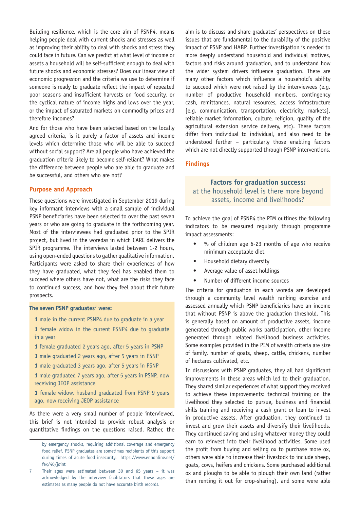Building resilience, which is the core aim of PSNP4, means helping people deal with current shocks and stresses as well as improving their ability to deal with shocks and stress they could face in future. Can we predict at what level of income or assets a household will be self-sufficient enough to deal with future shocks and economic stresses? Does our linear view of economic progression and the criteria we use to determine if someone is ready to graduate reflect the impact of repeated poor seasons and insufficient harvests on food security, or the cyclical nature of income highs and lows over the year, or the impact of saturated markets on commodity prices and therefore incomes?

And for those who have been selected based on the locally agreed criteria, is it purely a factor of assets and income levels which determine those who will be able to succeed without social support? Are all people who have achieved the graduation criteria likely to become self-reliant? What makes the difference between people who are able to graduate and be successful, and others who are not?

# **Purpose and Approach**

These questions were investigated in September 2019 during key informant interviews with a small sample of individual PSNP beneficiaries have been selected to over the past seven years or who are going to graduate in the forthcoming year. Most of the interviewees had graduated prior to the SPIR project, but lived in the woredas in which CARE delivers the SPIR programme. The interviews lasted between 1-2 hours, using open-ended questions to gather qualitative information. Participants were asked to share their experiences of how they have graduated, what they feel has enabled them to succeed where others have not, what are the risks they face to continued success, and how they feel about their future prospects.

#### **The seven PSNP graduates<sup>7</sup> were:**

- **1** male in the current PSNP4 due to graduate in a year
- **1** female widow in the current PSNP4 due to graduate in a year
- **1** female graduated 2 years ago, after 5 years in PSNP

**1** male graduated 2 years ago, after 5 years in PSNP

**1** male graduated 3 years ago, after 5 years in PSNP

**1** male graduated 7 years ago, after 5 years in PSNP, now receiving JEOP assistance

**1** female widow, husband graduated from PSNP 9 years ago, now receiving JEOP assistance

As there were a very small number of people interviewed, this brief is not intended to provide robust analysis or quantitative findings on the questions raised. Rather, the aim is to discuss and share graduates' perspectives on these issues that are fundamental to the durability of the positive impact of PSNP and HABP. Further investigation is needed to more deeply understand household and individual motives, factors and risks around graduation, and to understand how the wider system drivers influence graduation. There are many other factors which influence a household's ability to succeed which were not raised by the interviewees (e.g. number of productive household members, contingency cash, remittances, natural resources, access infrastructure [e.g. communication, transportation, electricity, markets], reliable market information, culture, religion, quality of the agricultural extension service delivery, etc). These factors differ from individual to individual, and also need to be understood further – particularly those enabling factors which are not directly supported through PSNP interventions.

# **Findings**

# **Factors for graduation success:** at the household level is there more beyond assets, income and livelihoods?

To achieve the goal of PSNP4 the PIM outlines the following indicators to be measured regularly through programme impact assessments:

- % of children age 6-23 months of age who receive minimum acceptable diet
- Household dietary diversity
- Average value of asset holdings
- Number of different income sources

The criteria for graduation in each woreda are developed through a community level wealth ranking exercise and assessed annually which PSNP beneficiaries have an income that without PSNP is above the graduation threshold. This is generally based on amount of productive assets, income generated through public works participation, other income generated through related livelihood business activities. Some examples provided in the PIM of wealth criteria are size of family, number of goats, sheep, cattle, chickens, number of hectares cultivated, etc.

In discussions with PSNP graduates, they all had significant improvements in these areas which led to their graduation. They shared similar experiences of what support they received to achieve these improvements: technical training on the livelihood they selected to pursue, business and financial skills training and receiving a cash grant or loan to invest in productive assets. After graduation, they continued to invest and grow their assets and diversify their livelihoods. They continued saving and using whatever money they could earn to reinvest into their livelihood activities. Some used the profit from buying and selling ox to purchase more ox, others were able to increase their livestock to include sheep, goats, cows, heifers and chickens. Some purchased additional ox and ploughs to be able to plough their own land (rather than renting it out for crop-sharing), and some were able

by emergency shocks, requiring additional coverage and emergency food relief. PSNP graduates are sometimes recipients of this support during times of acute food insecurity. https://www.ennonline.net/ fex/40/joint

Their ages were estimated between 30 and 65 years  $-$  it was acknowledged by the interview facilitators that these ages are estimates as many people do not have accurate birth records.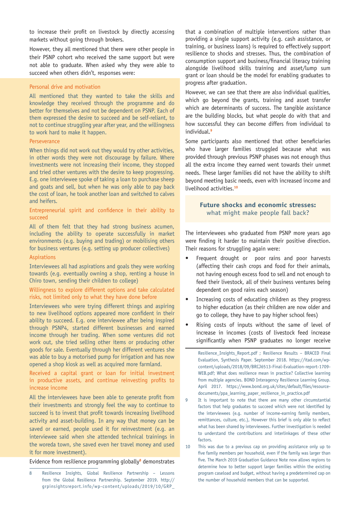to increase their profit on livestock by directly accessing markets without going through brokers.

However, they all mentioned that there were other people in their PSNP cohort who received the same support but were not able to graduate. When asked why they were able to succeed when others didn't, responses were:

### Personal drive and motivation

All mentioned that they wanted to take the skills and knowledge they received through the programme and do better for themselves and not be dependent on PSNP. Each of them expressed the desire to succeed and be self-reliant, to not to continue struggling year after year, and the willingness to work hard to make it happen.

#### **Perseverance**

When things did not work out they would try other activities, in other words they were not discourage by failure. Where investments were not increasing their income, they stopped and tried other ventures with the desire to keep progressing. E.g. one interviewee spoke of taking a loan to purchase sheep and goats and sell, but when he was only able to pay back the cost of loan, he took another loan and switched to calves and heifers.

# Entrepreneurial spirit and confidence in their ability to succeed

All of them felt that they had strong business acumen, including the ability to operate successfully in market environments (e.g. buying and trading) or mobilising others for business ventures (e.g. setting up producer collectives)

#### Aspirations

Interviewees all had aspirations and goals they were working towards (e.g. eventually owning a shop, renting a house in Chiro town, sending their children to college)

# Willingness to explore different options and take calculated risks, not limited only to what they have done before

Interviewees who were trying different things and aspiring to new livelihood options appeared more confident in their ability to succeed. E.g. one interviewee after being inspired through PSNP4, started different businesses and earned income through her trading. When some ventures did not work out, she tried selling other items or producing other goods for sale. Eventually through her different ventures she was able to buy a motorised pump for irrigation and has now opened a shop kiosk as well as acquired more farmland.

# Received a capital grant or loan for initial investment in productive assets, and continue reinvesting profits to increase income

All the interviewees have been able to generate profit from their investments and strongly feel the way to continue to succeed is to invest that profit towards increasing livelihood activity and asset-building. In any way that money can be saved or earned, people used it for reinvestment (e.g. an interviewee said when she attended technical trainings in the woreda town, she saved even her travel money and used it for more investment).

Evidence from resilience programming globally**<sup>8</sup>** demonstrates

that a combination of multiple interventions rather than providing a single support activity (e.g. cash assistance, or training, or business loans) is required to effectively support resilience to shocks and stresses. Thus, the combination of consumption support and business/financial literacy training alongside livelihood skills training and asset/lump sum grant or loan should be the model for enabling graduates to progress after graduation.

However, we can see that there are also individual qualities, which go beyond the grants, training and asset transfer which are determinants of success. The tangible assistance are the building blocks, but what people do with that and how successful they can become differs from individual to individual.**<sup>9</sup>**

Some participants also mentioned that other beneficiaries who have larger families struggled because what was provided through previous PSNP phases was not enough thus all the extra income they earned went towards their unmet needs. These larger families did not have the ability to shift beyond meeting basic needs, even with increased income and livelihood activities.**<sup>10</sup>**

# **Future shocks and economic stresses:** what might make people fall back?

The interviewees who graduated from PSNP more years ago were finding it harder to maintain their positive direction. Their reasons for struggling again were:

- Frequent drought or poor rains and poor harvests (affecting their cash crops and food for their animals, not having enough excess food to sell and not enough to feed their livestock, all of their business ventures being dependent on good rains each season)
- Increasing costs of educating children as they progress to higher education (as their children are now older and go to college, they have to pay higher school fees)
- Rising costs of inputs without the same of level of increase in incomes (costs of livestock feed increase significantly when PSNP graduates no longer receive

<sup>8</sup> Resilience Insights, Global Resilience Partnership – Lessons from the Global Resilience Partnership. September 2019. http:// grpinsightsreport.info/wp-content/uploads/2019/10/GRP\_

Resilience\_Insights\_Report.pdf ; Resilience Results – BRACED Final Evaluation, Synthesis Paper. September 2018. https://itad.com/wpcontent/uploads/2018/09/BRCJ6513-Final-Evaluation-report-1709- WEB.pdf; What does resilience mean in practice? Collective learning from multiple agencies. BOND Interagency Resilience Learning Group. April 2017. https://www.bond.org.uk/sites/default/files/resourcedocuments/ppa\_learning\_paper\_resilience\_in\_practice.pdf

<sup>9</sup> It is important to note that there are many other circumstantial factors that help graduates to succeed which were not identified by the interviewees (e.g. number of income-earning family members, remittances, culture, etc.), However this brief is only able to reflect what has been shared by interviewees. Further investigation is needed to understand the contributions and interlinkages of these other factors.

<sup>10</sup> This was due to a previous cap on providing assistance only up to five family members per household, even if the family was larger than five. The March 2019 Graduation Guidance Note now allows regions to determine how to better support larger families within the existing program caseload and budget, without having a predetermined cap on the number of household members that can be supported.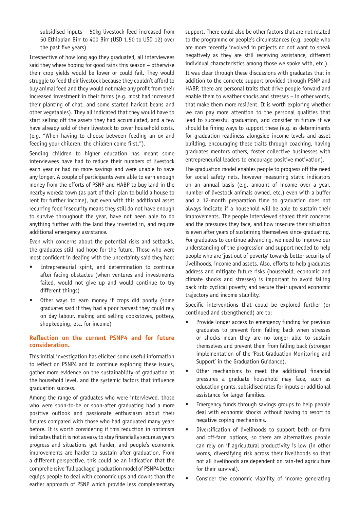subsidised inputs – 50kg livestock feed increased from 50 Ethiopian Birr to 400 Birr (USD 1.50 to USD 12) over the past five years)

Irrespective of how long ago they graduated, all interviewees said they where hoping for good rains this season – otherwise their crop yields would be lower or could fail. They would struggle to feed their livestock because they couldn't afford to buy animal feed and they would not make any profit from their increased investment in their farms (e.g. most had increased their planting of chat, and some started haricot beans and other vegetables). They all indicated that they would have to start selling off the assets they had accumulated, and a few have already sold of their livestock to cover household costs. (e.g. "When having to choose between feeding an ox and feeding your children, the children come first.").

Sending children to higher education has meant some interviewees have had to reduce their numbers of livestock each year or had no more savings and were unable to save any longer. A couple of participants were able to earn enough money from the efforts of PSNP and HABP to buy land in the nearby woreda town (as part of their plan to build a house to rent for further income), but even with this additional asset recurring food insecurity means they still do not have enough to survive throughout the year, have not been able to do anything further with the land they invested in, and require additional emergency assistance.

Even with concerns about the potential risks and setbacks, the graduates still had hope for the future. Those who were most confident in dealing with the uncertainty said they had:

- Entrepreneurial spirit, and determination to continue after facing obstacles (when ventures and investments failed, would not give up and would continue to try different things)
- Other ways to earn money if crops did poorly (some graduates said if they had a poor harvest they could rely on day labour, making and selling cookstoves, pottery, shopkeeping, etc. for income)

# **Reflection on the current PSNP4 and for future consideration.**

This initial investigation has elicited some useful information to reflect on PSNP4 and to continue exploring these issues, gather more evidence on the sustainability of graduation at the household level, and the systemic factors that influence graduation success.

Among the range of graduates who were interviewed, those who were soon-to-be or soon-after graduating had a more positive outlook and passionate enthusiasm about their futures compared with those who had graduated many years before. It is worth considering if this reduction in optimism indicates that it is not as easy to stay financially secure as years progress and situations get harder, and people's economic improvements are harder to sustain after graduation. From a different perspective, this could be an indication that the comprehensive 'full package' graduation model of PSNP4 better equips people to deal with economic ups and downs than the earlier approach of PSNP which provide less complementary

support. There could also be other factors that are not related to the programme or people's circumstances (e.g. people who are more recently involved in projects do not want to speak negatively as they are still receiving assistance, different individual characteristics among those we spoke with, etc.).

It was clear through these discussions with graduates that in addition to the concrete support provided through PSNP and HABP, there are personal traits that drive people forward and enable them to weather shocks and stresses – in other words, that make them more resilient. It is worth exploring whether we can pay more attention to the personal qualities that lead to successful graduation, and consider in future if we should be fining ways to support these (e.g. as determinants for graduation readiness alongside income levels and asset building, encouraging these traits through coaching, having graduates mentors others, foster collective businesses with entrepreneurial leaders to encourage positive motivation).

The graduation model enables people to progress off the need for social safety nets, however measuring static indicators on an annual basis (e.g. amount of income over a year, number of livestock animals owned, etc.) even with a buffer and a 12-month preparation time to graduation does not always indicate if a household will be able to sustain their improvements. The people interviewed shared their concerns and the pressures they face, and how insecure their situation is even after years of sustaining themselves since graduating. For graduates to continue advancing, we need to improve our understanding of the progression and support needed to help people who are 'just out of poverty' towards better security of livelihoods, income and assets. Also, efforts to help graduates address and mitigate future risks (household, economic and climate shocks and stresses) is important to avoid falling back into cyclical poverty and secure their upward economic trajectory and income stability.

Specific interventions that could be explored further (or continued and strengthened) are to:

- Provide longer access to emergency funding for previous graduates to prevent form falling back when stresses or shocks mean they are no longer able to sustain themselves and prevent them from falling back (stronger implementation of the 'Post-Graduation Monitoring and Support' in the Graduation Guidance).
- Other mechanisms to meet the additional financial pressures a graduate household may face, such as education grants, subsidised rates for inputs or additional assistance for larger families.
- Emergency funds through savings groups to help people deal with economic shocks without having to resort to negative coping mechanisms.
- Diversification of livelihoods to support both on-farm and off-farm options, so there are alternatives people can rely on if agricultural productivity is low (in other words, diversifying risk across their livelihoods so that not all livelihoods are dependent on rain-fed agriculture for their survival).
- Consider the economic viability of income generating